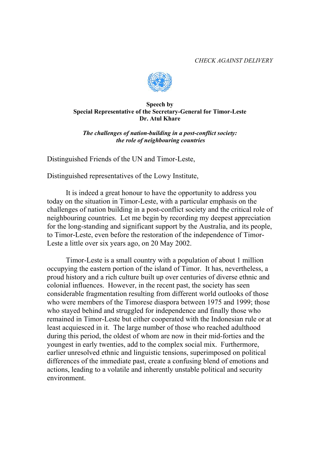*CHECK AGAINST DELIVERY* 



## **Speech by Special Representative of the Secretary-General for Timor-Leste Dr. Atul Khare**

*The challenges of nation-building in a post-conflict society: the role of neighbouring countries*

Distinguished Friends of the UN and Timor-Leste,

Distinguished representatives of the Lowy Institute,

 It is indeed a great honour to have the opportunity to address you today on the situation in Timor-Leste, with a particular emphasis on the challenges of nation building in a post-conflict society and the critical role of neighbouring countries. Let me begin by recording my deepest appreciation for the long-standing and significant support by the Australia, and its people, to Timor-Leste, even before the restoration of the independence of Timor-Leste a little over six years ago, on 20 May 2002.

 Timor-Leste is a small country with a population of about 1 million occupying the eastern portion of the island of Timor. It has, nevertheless, a proud history and a rich culture built up over centuries of diverse ethnic and colonial influences. However, in the recent past, the society has seen considerable fragmentation resulting from different world outlooks of those who were members of the Timorese diaspora between 1975 and 1999; those who stayed behind and struggled for independence and finally those who remained in Timor-Leste but either cooperated with the Indonesian rule or at least acquiesced in it. The large number of those who reached adulthood during this period, the oldest of whom are now in their mid-forties and the youngest in early twenties, add to the complex social mix. Furthermore, earlier unresolved ethnic and linguistic tensions, superimposed on political differences of the immediate past, create a confusing blend of emotions and actions, leading to a volatile and inherently unstable political and security environment.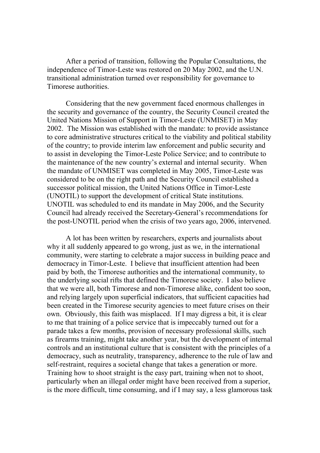After a period of transition, following the Popular Consultations, the independence of Timor-Leste was restored on 20 May 2002, and the U.N. transitional administration turned over responsibility for governance to Timorese authorities.

Considering that the new government faced enormous challenges in the security and governance of the country, the Security Council created the United Nations Mission of Support in Timor-Leste (UNMISET) in May 2002. The Mission was established with the mandate: to provide assistance to core administrative structures critical to the viability and political stability of the country; to provide interim law enforcement and public security and to assist in developing the Timor-Leste Police Service; and to contribute to the maintenance of the new country's external and internal security. When the mandate of UNMISET was completed in May 2005, Timor-Leste was considered to be on the right path and the Security Council established a successor political mission, the United Nations Office in Timor-Leste (UNOTIL) to support the development of critical State institutions. UNOTIL was scheduled to end its mandate in May 2006, and the Security Council had already received the Secretary-General's recommendations for the post-UNOTIL period when the crisis of two years ago, 2006, intervened.

A lot has been written by researchers, experts and journalists about why it all suddenly appeared to go wrong, just as we, in the international community, were starting to celebrate a major success in building peace and democracy in Timor-Leste. I believe that insufficient attention had been paid by both, the Timorese authorities and the international community, to the underlying social rifts that defined the Timorese society. I also believe that we were all, both Timorese and non-Timorese alike, confident too soon, and relying largely upon superficial indicators, that sufficient capacities had been created in the Timorese security agencies to meet future crises on their own. Obviously, this faith was misplaced. If I may digress a bit, it is clear to me that training of a police service that is impeccably turned out for a parade takes a few months, provision of necessary professional skills, such as firearms training, might take another year, but the development of internal controls and an institutional culture that is consistent with the principles of a democracy, such as neutrality, transparency, adherence to the rule of law and self-restraint, requires a societal change that takes a generation or more. Training how to shoot straight is the easy part, training when not to shoot, particularly when an illegal order might have been received from a superior, is the more difficult, time consuming, and if I may say, a less glamorous task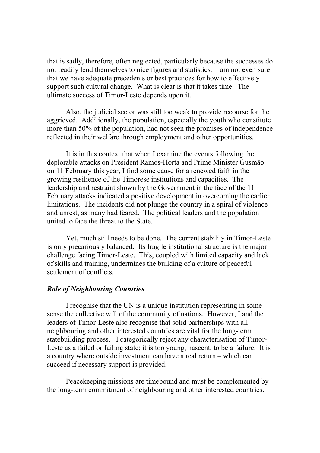that is sadly, therefore, often neglected, particularly because the successes do not readily lend themselves to nice figures and statistics. I am not even sure that we have adequate precedents or best practices for how to effectively support such cultural change. What is clear is that it takes time. The ultimate success of Timor-Leste depends upon it.

Also, the judicial sector was still too weak to provide recourse for the aggrieved. Additionally, the population, especially the youth who constitute more than 50% of the population, had not seen the promises of independence reflected in their welfare through employment and other opportunities.

It is in this context that when I examine the events following the deplorable attacks on President Ramos-Horta and Prime Minister Gusmão on 11 February this year, I find some cause for a renewed faith in the growing resilience of the Timorese institutions and capacities. The leadership and restraint shown by the Government in the face of the 11 February attacks indicated a positive development in overcoming the earlier limitations. The incidents did not plunge the country in a spiral of violence and unrest, as many had feared. The political leaders and the population united to face the threat to the State.

Yet, much still needs to be done. The current stability in Timor-Leste is only precariously balanced. Its fragile institutional structure is the major challenge facing Timor-Leste. This, coupled with limited capacity and lack of skills and training, undermines the building of a culture of peaceful settlement of conflicts.

## *Role of Neighbouring Countries*

I recognise that the UN is a unique institution representing in some sense the collective will of the community of nations. However, I and the leaders of Timor-Leste also recognise that solid partnerships with all neighbouring and other interested countries are vital for the long-term statebuilding process. I categorically reject any characterisation of Timor-Leste as a failed or failing state; it is too young, nascent, to be a failure. It is a country where outside investment can have a real return – which can succeed if necessary support is provided.

Peacekeeping missions are timebound and must be complemented by the long-term commitment of neighbouring and other interested countries.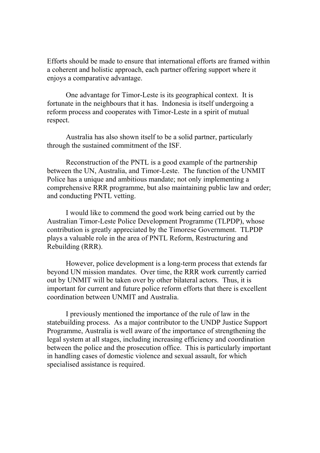Efforts should be made to ensure that international efforts are framed within a coherent and holistic approach, each partner offering support where it enjoys a comparative advantage.

One advantage for Timor-Leste is its geographical context. It is fortunate in the neighbours that it has. Indonesia is itself undergoing a reform process and cooperates with Timor-Leste in a spirit of mutual respect.

Australia has also shown itself to be a solid partner, particularly through the sustained commitment of the ISF.

Reconstruction of the PNTL is a good example of the partnership between the UN, Australia, and Timor-Leste. The function of the UNMIT Police has a unique and ambitious mandate; not only implementing a comprehensive RRR programme, but also maintaining public law and order; and conducting PNTL vetting.

I would like to commend the good work being carried out by the Australian Timor-Leste Police Development Programme (TLPDP), whose contribution is greatly appreciated by the Timorese Government. TLPDP plays a valuable role in the area of PNTL Reform, Restructuring and Rebuilding (RRR).

However, police development is a long-term process that extends far beyond UN mission mandates. Over time, the RRR work currently carried out by UNMIT will be taken over by other bilateral actors. Thus, it is important for current and future police reform efforts that there is excellent coordination between UNMIT and Australia.

I previously mentioned the importance of the rule of law in the statebuilding process. As a major contributor to the UNDP Justice Support Programme, Australia is well aware of the importance of strengthening the legal system at all stages, including increasing efficiency and coordination between the police and the prosecution office. This is particularly important in handling cases of domestic violence and sexual assault, for which specialised assistance is required.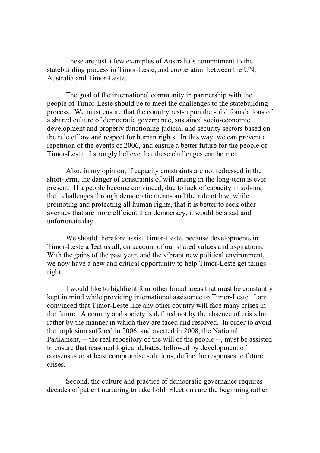These are just a few examples of Australia's commitment to the statebuilding process in Timor-Leste, and cooperation between the UN, Australia and Timor-Leste.

The goal of the international community in partnership with the people of Timor-Leste should be to meet the challenges to the statebuilding process. We must ensure that the country rests upon the solid foundations of a shared culture of democratic governance, sustained socio-economic development and properly functioning judicial and security sectors based on the rule of law and respect for human rights. In this way, we can prevent a repetition of the events of 2006, and ensure a better future for the people of Timor-Leste. I strongly believe that these challenges can be met.

 Also, in my opinion, if capacity constraints are not redressed in the short-term, the danger of constraints of will arising in the long-term is ever present. If a people become convinced, due to lack of capacity in solving their challenges through democratic means and the rule of law, while promoting and protecting all human rights, that it is better to seek other avenues that are more efficient than democracy, it would be a sad and unfortunate day.

 We should therefore assist Timor-Leste, because developments in Timor-Leste affect us all, on account of our shared values and aspirations. With the gains of the past year, and the vibrant new political environment, we now have a new and critical opportunity to help Timor-Leste get things right.

 I would like to highlight four other broad areas that must be constantly kept in mind while providing international assistance to Timor-Leste. I am convinced that Timor-Leste like any other country will face many crises in the future. A country and society is defined not by the absence of crisis but rather by the manner in which they are faced and resolved. In order to avoid the implosion suffered in 2006, and averted in 2008, the National Parliament, -- the real repository of the will of the people --, must be assisted to ensure that reasoned logical debates, followed by development of consensus or at least compromise solutions, define the responses to future crises.

Second, the culture and practice of democratic governance requires decades of patient nurturing to take hold. Elections are the beginning rather